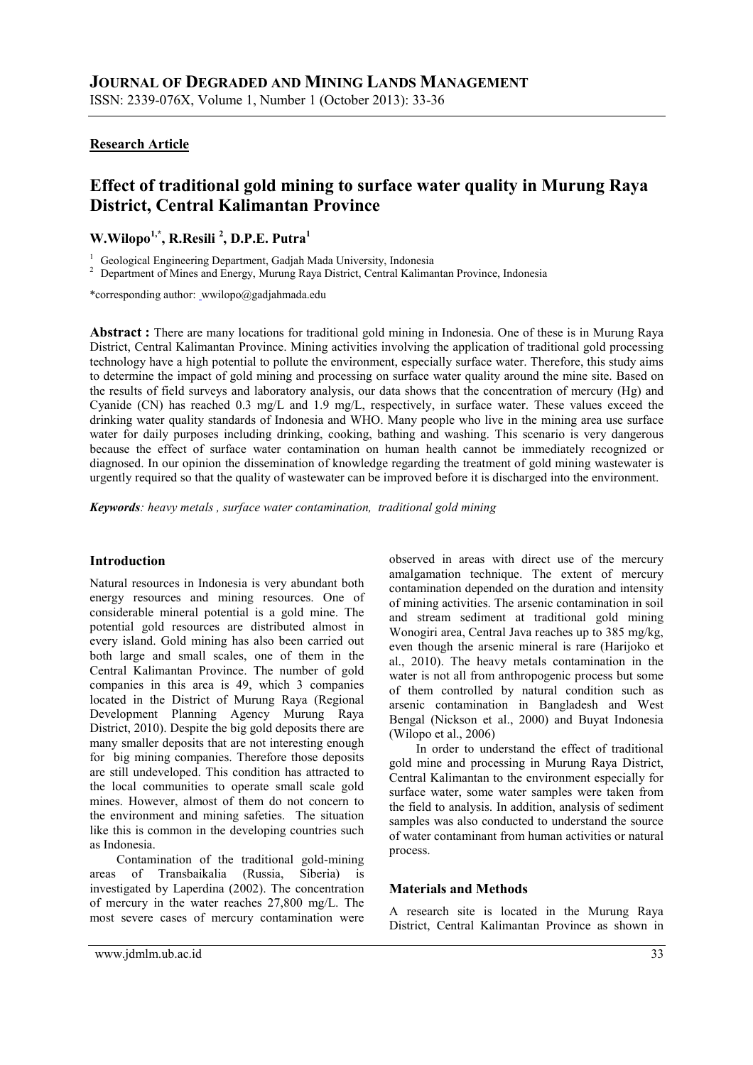#### **Research Article**

# **Effect of traditional gold mining to surface water quality in Murung Raya District, Central Kalimantan Province**

## **W.Wilopo1,\*, R.Resili <sup>2</sup> , D.P.E. Putra<sup>1</sup>**

<sup>1</sup> Geological Engineering Department, Gadjah Mada University, Indonesia

<sup>2</sup> Department of Mines and Energy, Murung Raya District, Central Kalimantan Province, Indonesia

\*corresponding author: wwilopo@gadjahmada.edu

**Abstract :** There are many locations for traditional gold mining in Indonesia. One of these is in Murung Raya District, Central Kalimantan Province. Mining activities involving the application of traditional gold processing technology have a high potential to pollute the environment, especially surface water. Therefore, this study aims to determine the impact of gold mining and processing on surface water quality around the mine site. Based on the results of field surveys and laboratory analysis, our data shows that the concentration of mercury (Hg) and Cyanide (CN) has reached 0.3 mg/L and 1.9 mg/L, respectively, in surface water. These values exceed the drinking water quality standards of Indonesia and WHO. Many people who live in the mining area use surface water for daily purposes including drinking, cooking, bathing and washing. This scenario is very dangerous because the effect of surface water contamination on human health cannot be immediately recognized or diagnosed. In our opinion the dissemination of knowledge regarding the treatment of gold mining wastewater is urgently required so that the quality of wastewater can be improved before it is discharged into the environment.

*Keywords: heavy metals , surface water contamination, traditional gold mining*

#### **Introduction**

Natural resources in Indonesia is very abundant both energy resources and mining resources. One of considerable mineral potential is a gold mine. The potential gold resources are distributed almost in every island. Gold mining has also been carried out both large and small scales, one of them in the Central Kalimantan Province. The number of gold companies in this area is 49, which 3 companies located in the District of Murung Raya (Regional Development Planning Agency Murung Raya District, 2010). Despite the big gold deposits there are many smaller deposits that are not interesting enough for big mining companies. Therefore those deposits are still undeveloped. This condition has attracted to the local communities to operate small scale gold mines. However, almost of them do not concern to the environment and mining safeties. The situation like this is common in the developing countries such as Indonesia.

Contamination of the traditional gold-mining areas of Transbaikalia (Russia, Siberia) is investigated by Laperdina (2002). The concentration of mercury in the water reaches 27,800 mg/L. The most severe cases of mercury contamination were observed in areas with direct use of the mercury amalgamation technique. The extent of mercury contamination depended on the duration and intensity of mining activities. The arsenic contamination in soil and stream sediment at traditional gold mining Wonogiri area, Central Java reaches up to 385 mg/kg, even though the arsenic mineral is rare (Harijoko et al., 2010). The heavy metals contamination in the water is not all from anthropogenic process but some of them controlled by natural condition such as arsenic contamination in Bangladesh and West Bengal (Nickson et al., 2000) and Buyat Indonesia (Wilopo et al., 2006)

In order to understand the effect of traditional gold mine and processing in Murung Raya District, Central Kalimantan to the environment especially for surface water, some water samples were taken from the field to analysis. In addition, analysis of sediment samples was also conducted to understand the source of water contaminant from human activities or natural process.

#### **Materials and Methods**

A research site is located in the Murung Raya District, Central Kalimantan Province as shown in

www.jdmlm.ub.ac.id 33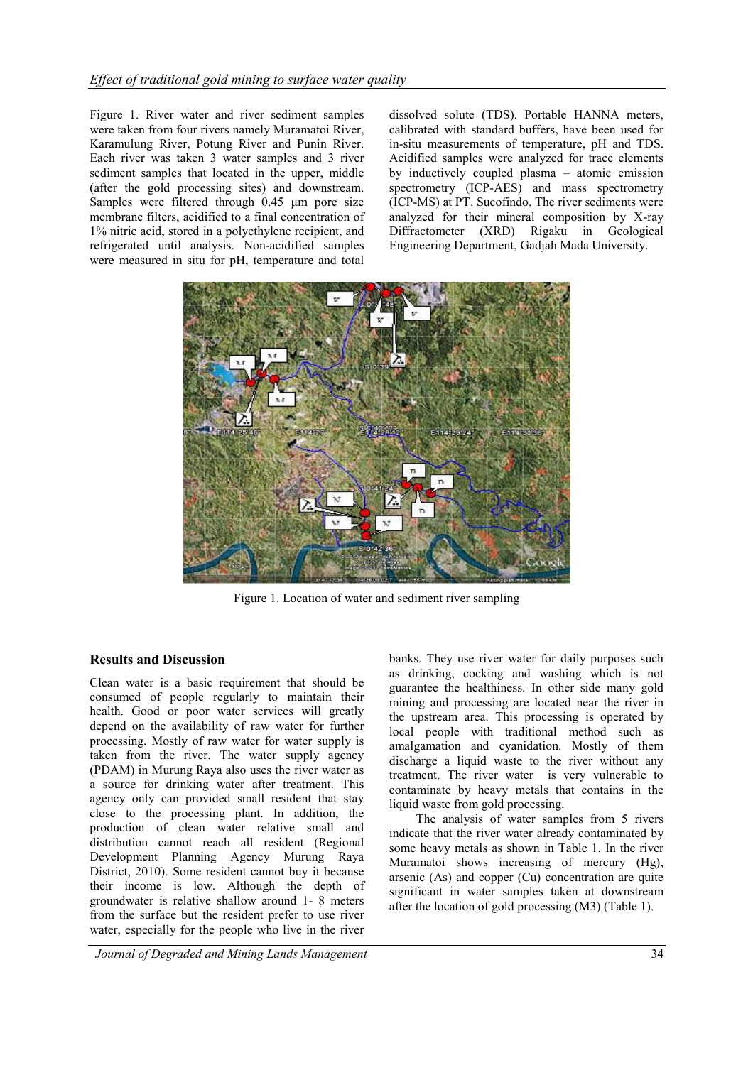Figure 1. River water and river sediment samples were taken from four rivers namely Muramatoi River, Karamulung River, Potung River and Punin River. Each river was taken 3 water samples and 3 river sediment samples that located in the upper, middle (after the gold processing sites) and downstream. Samples were filtered through 0.45 μm pore size membrane filters, acidified to a final concentration of 1% nitric acid, stored in a polyethylene recipient, and refrigerated until analysis. Non-acidified samples were measured in situ for pH, temperature and total dissolved solute (TDS). Portable HANNA meters, calibrated with standard buffers, have been used for in-situ measurements of temperature, pH and TDS. Acidified samples were analyzed for trace elements by inductively coupled plasma – atomic emission spectrometry (ICP-AES) and mass spectrometry (ICP-MS) at PT. Sucofindo. The river sediments were analyzed for their mineral composition by X-ray Diffractometer (XRD) Rigaku in Geological Engineering Department, Gadjah Mada University.



Figure 1. Location of water and sediment river sampling

### **Results and Discussion**

Clean water is a basic requirement that should be consumed of people regularly to maintain their health. Good or poor water services will greatly depend on the availability of raw water for further processing. Mostly of raw water for water supply is taken from the river. The water supply agency (PDAM) in Murung Raya also uses the river water as a source for drinking water after treatment. This agency only can provided small resident that stay close to the processing plant. In addition, the production of clean water relative small and distribution cannot reach all resident (Regional Development Planning Agency Murung Raya District, 2010). Some resident cannot buy it because their income is low. Although the depth of groundwater is relative shallow around 1- 8 meters from the surface but the resident prefer to use river water, especially for the people who live in the river

banks. They use river water for daily purposes such as drinking, cocking and washing which is not guarantee the healthiness. In other side many gold mining and processing are located near the river in the upstream area. This processing is operated by local people with traditional method such as amalgamation and cyanidation. Mostly of them discharge a liquid waste to the river without any treatment. The river water is very vulnerable to contaminate by heavy metals that contains in the liquid waste from gold processing.

The analysis of water samples from 5 rivers indicate that the river water already contaminated by some heavy metals as shown in Table 1. In the river Muramatoi shows increasing of mercury (Hg), arsenic (As) and copper (Cu) concentration are quite significant in water samples taken at downstream after the location of gold processing (M3) (Table 1).

*Journal of Degraded and Mining Lands Management* 34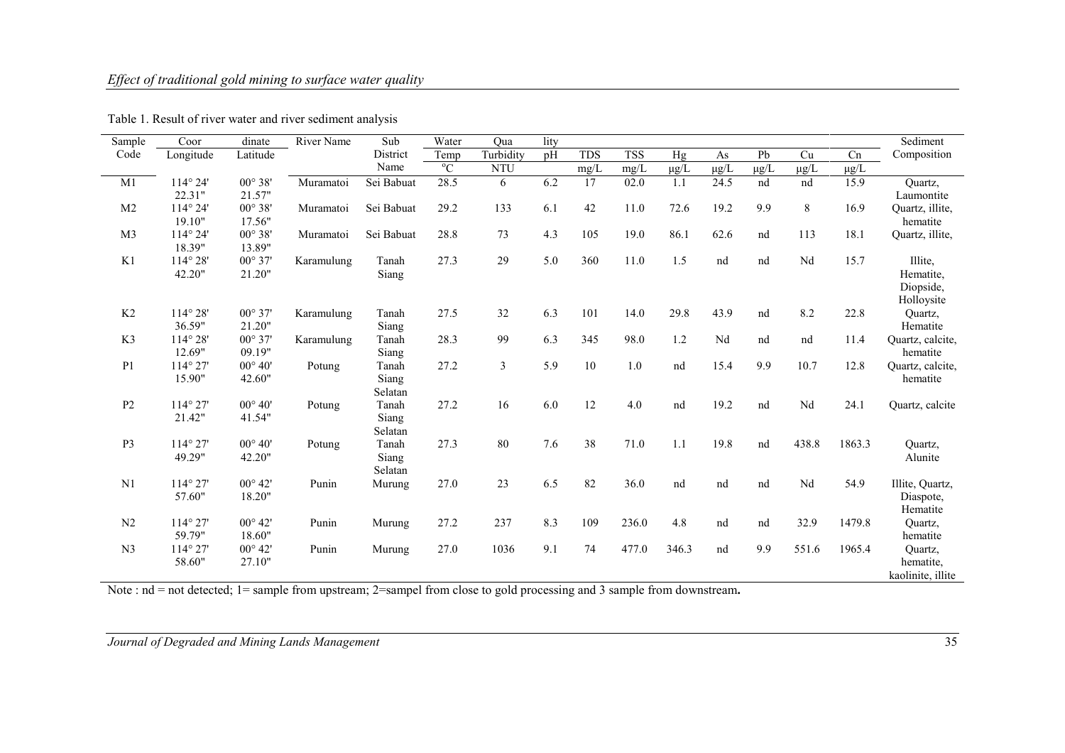## *Effect of traditional gold mining to surface water quality*

| Sample          | Coor              | dinate           | River Name | Sub        | Water                    | Oua        | lity |            |            |           |           |           |           |           | Sediment             |
|-----------------|-------------------|------------------|------------|------------|--------------------------|------------|------|------------|------------|-----------|-----------|-----------|-----------|-----------|----------------------|
| Code            | Longitude         | Latitude         |            | District   | $\overline{\text{Temp}}$ | Turbidity  | pH   | <b>TDS</b> | <b>TSS</b> | Hg        | As        | Pb        | Cu        | Cn        | Composition          |
|                 |                   |                  |            | Name       | $\mathrm{C}^{\circ}$     | <b>NTU</b> |      | mg/L       | mg/L       | $\mu$ g/L | $\mu$ g/L | $\mu g/L$ | $\mu g/L$ | $\mu g/L$ |                      |
| $\overline{M1}$ | 114° 24'          | $00^{\circ} 38'$ | Muramatoi  | Sei Babuat | 28.5                     | 6          | 6.2  | 17         | 02.0       | 1.1       | 24.5      | nd        | nd        | 15.9      | Quartz,              |
|                 | 22.31"            | 21.57"           |            |            |                          |            |      |            |            |           |           |           |           |           | Laumontite           |
| M <sub>2</sub>  | 114° 24'          | $00^{\circ} 38'$ | Muramatoi  | Sei Babuat | 29.2                     | 133        | 6.1  | 42         | 11.0       | 72.6      | 19.2      | 9.9       | 8         | 16.9      | Quartz, illite,      |
|                 | 19.10"            | 17.56"           |            |            |                          |            |      |            |            |           |           |           |           |           | hematite             |
| M <sub>3</sub>  | $114^{\circ} 24'$ | $00^{\circ}$ 38' | Muramatoi  | Sei Babuat | 28.8                     | 73         | 4.3  | 105        | 19.0       | 86.1      | 62.6      | nd        | 113       | 18.1      | Quartz, illite,      |
|                 | 18.39"            | 13.89"           |            |            |                          |            |      |            |            |           |           |           |           |           |                      |
| K1              | $114^{\circ} 28'$ | $00^{\circ} 37'$ | Karamulung | Tanah      | 27.3                     | 29         | 5.0  | 360        | 11.0       | 1.5       | nd        | nd        | Nd        | 15.7      | Illite,              |
|                 | 42.20"            | 21.20"           |            | Siang      |                          |            |      |            |            |           |           |           |           |           | Hematite,            |
|                 |                   |                  |            |            |                          |            |      |            |            |           |           |           |           |           | Diopside,            |
|                 |                   |                  |            |            |                          |            |      |            |            |           |           |           |           |           | Holloysite           |
| K2              | 114° 28'          | $00^{\circ} 37'$ | Karamulung | Tanah      | 27.5                     | 32         | 6.3  | 101        | 14.0       | 29.8      | 43.9      | nd        | 8.2       | 22.8      | Quartz,              |
|                 | 36.59"            | 21.20"           |            | Siang      |                          |            |      |            |            |           |           |           |           |           | Hematite             |
| K3              | $114^{\circ} 28'$ | $00^{\circ} 37'$ | Karamulung | Tanah      | 28.3                     | 99         | 6.3  | 345        | 98.0       | 1.2       | Nd        | nd        | nd        | 11.4      | Quartz, calcite,     |
|                 | 12.69"            | 09.19"           |            | Siang      |                          |            |      |            |            |           |           |           |           |           | hematite             |
| P <sub>1</sub>  | 114° 27'          | $00^{\circ} 40'$ | Potung     | Tanah      | 27.2                     | 3          | 5.9  | $10\,$     | $1.0\,$    | nd        | 15.4      | 9.9       | 10.7      | 12.8      | Quartz, calcite,     |
|                 | 15.90"            | 42.60"           |            | Siang      |                          |            |      |            |            |           |           |           |           |           | hematite             |
|                 |                   |                  |            | Selatan    |                          |            |      |            |            |           |           |           |           |           |                      |
| P <sub>2</sub>  | $114^{\circ} 27'$ | $00^{\circ} 40'$ | Potung     | Tanah      | 27.2                     | 16         | 6.0  | 12         | 4.0        | nd        | 19.2      | nd        | Nd        | 24.1      | Quartz, calcite      |
|                 | 21.42"            | 41.54"           |            | Siang      |                          |            |      |            |            |           |           |           |           |           |                      |
|                 |                   |                  |            | Selatan    |                          |            |      |            |            |           |           |           |           |           |                      |
| P <sub>3</sub>  | $114^{\circ} 27'$ | $00^{\circ} 40'$ | Potung     | Tanah      | 27.3                     | 80         | 7.6  | 38         | 71.0       | 1.1       | 19.8      | nd        | 438.8     | 1863.3    | Quartz,              |
|                 | 49.29"            | 42.20"           |            | Siang      |                          |            |      |            |            |           |           |           |           |           | Alunite              |
|                 |                   |                  |            | Selatan    |                          |            |      |            |            |           |           |           |           |           |                      |
| N <sub>1</sub>  | $114^{\circ} 27'$ | $00^{\circ} 42'$ | Punin      | Murung     | 27.0                     | 23         | 6.5  | 82         | 36.0       | nd        | nd        | nd        | Nd        | 54.9      | Illite, Quartz,      |
|                 | 57.60"            | 18.20"           |            |            |                          |            |      |            |            |           |           |           |           |           | Diaspote,            |
| N2              | $114^{\circ} 27'$ | $00^{\circ} 42'$ | Punin      |            | 27.2                     | 237        | 8.3  | 109        | 236.0      | 4.8       | nd        | nd        | 32.9      | 1479.8    | Hematite             |
|                 | 59.79"            | 18.60"           |            | Murung     |                          |            |      |            |            |           |           |           |           |           | Quartz,<br>hematite  |
| N <sub>3</sub>  | $114^{\circ} 27'$ | $00^{\circ}$ 42' | Punin      |            | 27.0                     | 1036       | 9.1  | 74         | 477.0      | 346.3     | nd        | 9.9       | 551.6     | 1965.4    |                      |
|                 | 58.60"            | 27.10"           |            | Murung     |                          |            |      |            |            |           |           |           |           |           | Quartz,<br>hematite, |
|                 |                   |                  |            |            |                          |            |      |            |            |           |           |           |           |           | kaolinite, illite    |
|                 |                   |                  |            |            |                          |            |      |            |            |           |           |           |           |           |                      |

Table 1. Result of river water and river sediment analysis

Note : nd = not detected; 1= sample from upstream; 2=sampel from close to gold processing and 3 sample from downstream.

*Journal of Degraded and Mining Lands Management* 35